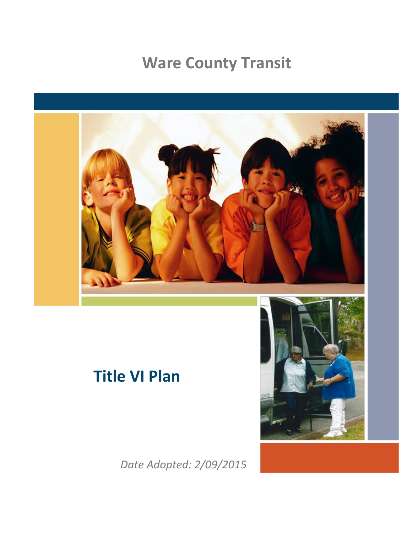# **Ware County Transit**



*Date Adopted: 2/09/2015*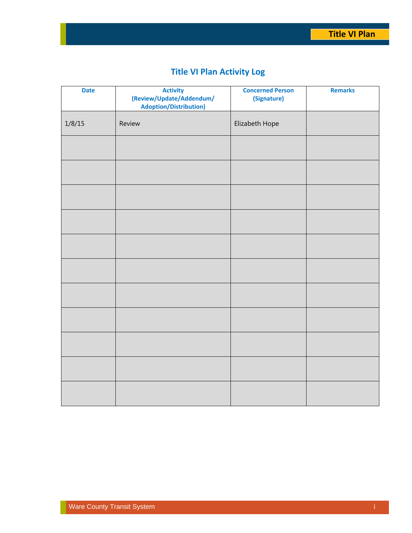## **Title VI Plan Activity Log**

| <b>Date</b> | <b>Activity</b><br>(Review/Update/Addendum/<br><b>Adoption/Distribution)</b> | <b>Concerned Person</b><br>(Signature) | <b>Remarks</b> |
|-------------|------------------------------------------------------------------------------|----------------------------------------|----------------|
| 1/8/15      | Review                                                                       | Elizabeth Hope                         |                |
|             |                                                                              |                                        |                |
|             |                                                                              |                                        |                |
|             |                                                                              |                                        |                |
|             |                                                                              |                                        |                |
|             |                                                                              |                                        |                |
|             |                                                                              |                                        |                |
|             |                                                                              |                                        |                |
|             |                                                                              |                                        |                |
|             |                                                                              |                                        |                |
|             |                                                                              |                                        |                |
|             |                                                                              |                                        |                |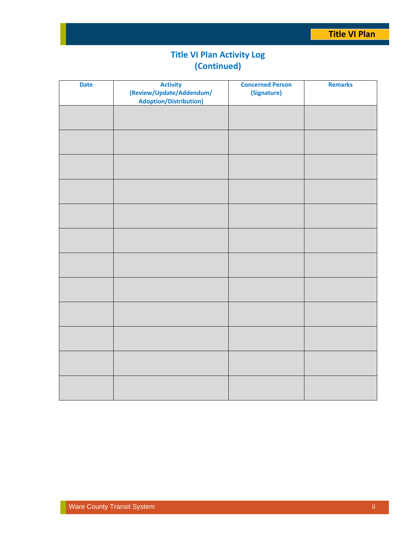## **Title VI Plan Activity Log (Continued)**

| <b>Date</b> | <b>Activity</b><br>(Review/Update/Addendum/<br><b>Adoption/Distribution)</b> | <b>Concerned Person</b><br>(Signature) | <b>Remarks</b> |
|-------------|------------------------------------------------------------------------------|----------------------------------------|----------------|
|             |                                                                              |                                        |                |
|             |                                                                              |                                        |                |
|             |                                                                              |                                        |                |
|             |                                                                              |                                        |                |
|             |                                                                              |                                        |                |
|             |                                                                              |                                        |                |
|             |                                                                              |                                        |                |
|             |                                                                              |                                        |                |
|             |                                                                              |                                        |                |
|             |                                                                              |                                        |                |
|             |                                                                              |                                        |                |
|             |                                                                              |                                        |                |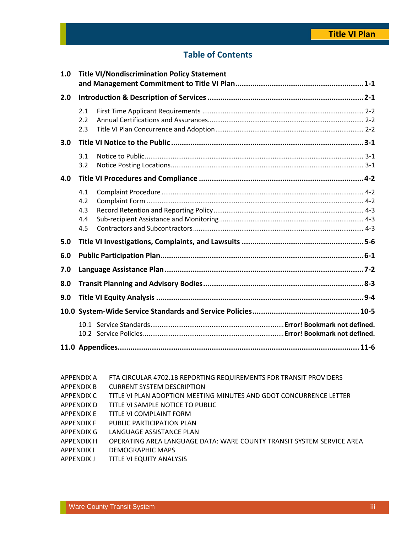### **Table of Contents**

| 1.0 | <b>Title VI/Nondiscrimination Policy Statement</b> |  |  |
|-----|----------------------------------------------------|--|--|
| 2.0 |                                                    |  |  |
|     | 2.1<br>2.2<br>2.3                                  |  |  |
| 3.0 |                                                    |  |  |
|     | 3.1<br>3.2                                         |  |  |
| 4.0 |                                                    |  |  |
|     | 4.1<br>4.2<br>4.3<br>4.4<br>4.5                    |  |  |
| 5.0 |                                                    |  |  |
| 6.0 |                                                    |  |  |
| 7.0 |                                                    |  |  |
| 8.0 |                                                    |  |  |
| 9.0 |                                                    |  |  |
|     |                                                    |  |  |
|     |                                                    |  |  |
|     |                                                    |  |  |

- APPENDIX A FTA CIRCULAR 4702.1B REPORTING REQUIREMENTS FOR TRANSIT PROVIDERS
- APPENDIX B CURRENT SYSTEM DESCRIPTION
- APPENDIX C TITLE VI PLAN ADOPTION MEETING MINUTES AND GDOT CONCURRENCE LETTER
- APPENDIX D TITLE VI SAMPLE NOTICE TO PUBLIC
- APPENDIX E TITLE VI COMPLAINT FORM
- APPENDIX F PUBLIC PARTICIPATION PLAN
- APPENDIX G LANGUAGE ASSISTANCE PLAN
- APPENDIX H OPERATING AREA LANGUAGE DATA: WARE COUNTY TRANSIT SYSTEM SERVICE AREA
- APPENDIX I DEMOGRAPHIC MAPS
- APPENDIX J TITLE VI EQUITY ANALYSIS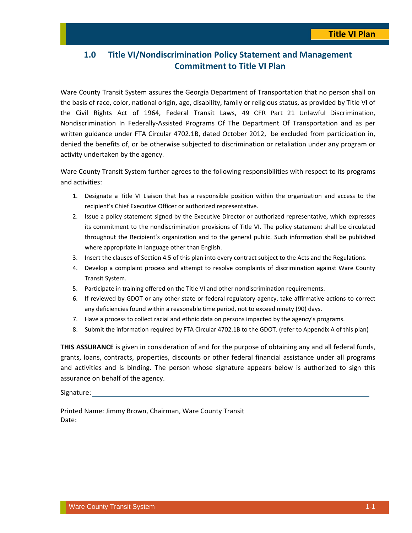### **1.0 Title VI/Nondiscrimination Policy Statement and Management Commitment to Title VI Plan**

Ware County Transit System assures the Georgia Department of Transportation that no person shall on the basis of race, color, national origin, age, disability, family or religious status, as provided by Title VI of the Civil Rights Act of 1964, Federal Transit Laws, 49 CFR Part 21 Unlawful Discrimination, Nondiscrimination In Federally‐Assisted Programs Of The Department Of Transportation and as per written guidance under FTA Circular 4702.1B, dated October 2012, be excluded from participation in, denied the benefits of, or be otherwise subjected to discrimination or retaliation under any program or activity undertaken by the agency.

Ware County Transit System further agrees to the following responsibilities with respect to its programs and activities:

- 1. Designate a Title VI Liaison that has a responsible position within the organization and access to the recipient's Chief Executive Officer or authorized representative.
- 2. Issue a policy statement signed by the Executive Director or authorized representative, which expresses its commitment to the nondiscrimination provisions of Title VI. The policy statement shall be circulated throughout the Recipient's organization and to the general public. Such information shall be published where appropriate in language other than English.
- 3. Insert the clauses of Section 4.5 of this plan into every contract subject to the Acts and the Regulations.
- 4. Develop a complaint process and attempt to resolve complaints of discrimination against Ware County Transit System.
- 5. Participate in training offered on the Title VI and other nondiscrimination requirements.
- 6. If reviewed by GDOT or any other state or federal regulatory agency, take affirmative actions to correct any deficiencies found within a reasonable time period, not to exceed ninety (90) days.
- 7. Have a process to collect racial and ethnic data on persons impacted by the agency's programs.
- 8. Submit the information required by FTA Circular 4702.1B to the GDOT. (refer to Appendix A of this plan)

**THIS ASSURANCE** is given in consideration of and for the purpose of obtaining any and all federal funds, grants, loans, contracts, properties, discounts or other federal financial assistance under all programs and activities and is binding. The person whose signature appears below is authorized to sign this assurance on behalf of the agency.

Signature:

Printed Name: Jimmy Brown, Chairman, Ware County Transit Date: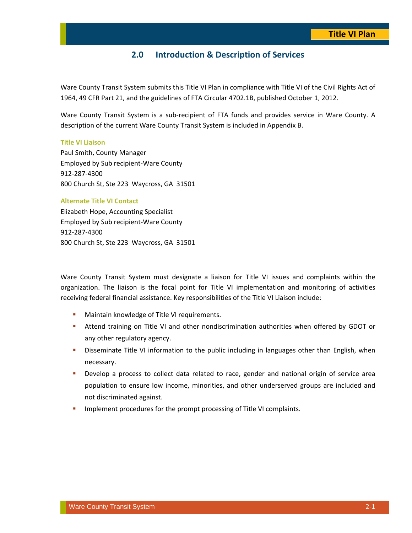### **2.0 Introduction & Description of Services**

Ware County Transit System submits this Title VI Plan in compliance with Title VI of the Civil Rights Act of 1964, 49 CFR Part 21, and the guidelines of FTA Circular 4702.1B, published October 1, 2012.

Ware County Transit System is a sub‐recipient of FTA funds and provides service in Ware County. A description of the current Ware County Transit System is included in Appendix B.

### **Title VI Liaison**

Paul Smith, County Manager Employed by Sub recipient‐Ware County 912‐287‐4300 800 Church St, Ste 223 Waycross, GA 31501

### **Alternate Title VI Contact**

Elizabeth Hope, Accounting Specialist Employed by Sub recipient‐Ware County 912‐287‐4300 800 Church St, Ste 223 Waycross, GA 31501

Ware County Transit System must designate a liaison for Title VI issues and complaints within the organization. The liaison is the focal point for Title VI implementation and monitoring of activities receiving federal financial assistance. Key responsibilities of the Title VI Liaison include:

- **Maintain knowledge of Title VI requirements.**
- Attend training on Title VI and other nondiscrimination authorities when offered by GDOT or any other regulatory agency.
- **•** Disseminate Title VI information to the public including in languages other than English, when necessary.
- **Develop a process to collect data related to race, gender and national origin of service area** population to ensure low income, minorities, and other underserved groups are included and not discriminated against.
- **IMPLEMENT IMPLEMENT INCOCOUTES FOR THE PROPERTY IMPLEMENT IMPLY** COMPLAINTS.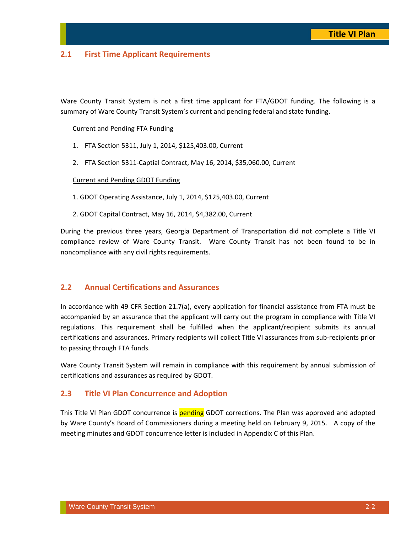### **2.1 First Time Applicant Requirements**

Ware County Transit System is not a first time applicant for FTA/GDOT funding. The following is a summary of Ware County Transit System's current and pending federal and state funding.

### Current and Pending FTA Funding

- 1. FTA Section 5311, July 1, 2014, \$125,403.00, Current
- 2. FTA Section 5311‐Captial Contract, May 16, 2014, \$35,060.00, Current

### Current and Pending GDOT Funding

1. GDOT Operating Assistance, July 1, 2014, \$125,403.00, Current

2. GDOT Capital Contract, May 16, 2014, \$4,382.00, Current

During the previous three years, Georgia Department of Transportation did not complete a Title VI compliance review of Ware County Transit. Ware County Transit has not been found to be in noncompliance with any civil rights requirements.

### **2.2 Annual Certifications and Assurances**

In accordance with 49 CFR Section 21.7(a), every application for financial assistance from FTA must be accompanied by an assurance that the applicant will carry out the program in compliance with Title VI regulations. This requirement shall be fulfilled when the applicant/recipient submits its annual certifications and assurances. Primary recipients will collect Title VI assurances from sub‐recipients prior to passing through FTA funds.

Ware County Transit System will remain in compliance with this requirement by annual submission of certifications and assurances as required by GDOT.

### **2.3 Title VI Plan Concurrence and Adoption**

This Title VI Plan GDOT concurrence is **pending** GDOT corrections. The Plan was approved and adopted by Ware County's Board of Commissioners during a meeting held on February 9, 2015. A copy of the meeting minutes and GDOT concurrence letter is included in Appendix C of this Plan.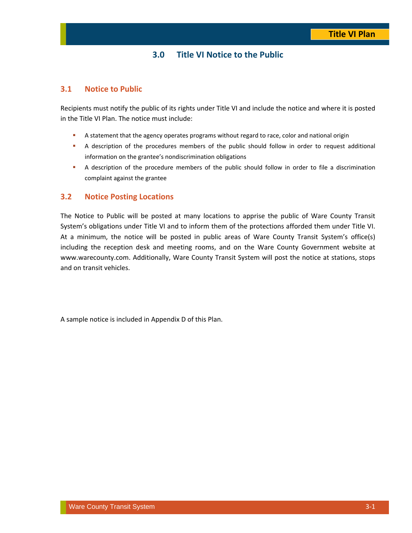### **3.0 Title VI Notice to the Public**

### **3.1 Notice to Public**

Recipients must notify the public of its rights under Title VI and include the notice and where it is posted in the Title VI Plan. The notice must include:

- A statement that the agency operates programs without regard to race, color and national origin
- A description of the procedures members of the public should follow in order to request additional information on the grantee's nondiscrimination obligations
- A description of the procedure members of the public should follow in order to file a discrimination complaint against the grantee

### **3.2 Notice Posting Locations**

The Notice to Public will be posted at many locations to apprise the public of Ware County Transit System's obligations under Title VI and to inform them of the protections afforded them under Title VI. At a minimum, the notice will be posted in public areas of Ware County Transit System's office(s) including the reception desk and meeting rooms, and on the Ware County Government website at www.warecounty.com. Additionally, Ware County Transit System will post the notice at stations, stops and on transit vehicles.

A sample notice is included in Appendix D of this Plan.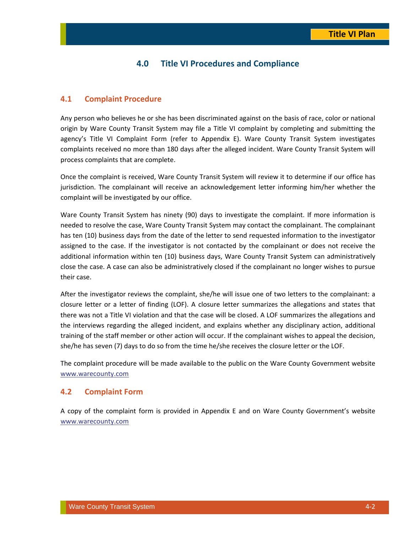### **4.0 Title VI Procedures and Compliance**

### **4.1 Complaint Procedure**

Any person who believes he or she has been discriminated against on the basis of race, color or national origin by Ware County Transit System may file a Title VI complaint by completing and submitting the agency's Title VI Complaint Form (refer to Appendix E). Ware County Transit System investigates complaints received no more than 180 days after the alleged incident. Ware County Transit System will process complaints that are complete.

Once the complaint is received, Ware County Transit System will review it to determine if our office has jurisdiction. The complainant will receive an acknowledgement letter informing him/her whether the complaint will be investigated by our office.

Ware County Transit System has ninety (90) days to investigate the complaint. If more information is needed to resolve the case, Ware County Transit System may contact the complainant. The complainant has ten (10) business days from the date of the letter to send requested information to the investigator assigned to the case. If the investigator is not contacted by the complainant or does not receive the additional information within ten (10) business days, Ware County Transit System can administratively close the case. A case can also be administratively closed if the complainant no longer wishes to pursue their case.

After the investigator reviews the complaint, she/he will issue one of two letters to the complainant: a closure letter or a letter of finding (LOF). A closure letter summarizes the allegations and states that there was not a Title VI violation and that the case will be closed. A LOF summarizes the allegations and the interviews regarding the alleged incident, and explains whether any disciplinary action, additional training of the staff member or other action will occur. If the complainant wishes to appeal the decision, she/he has seven (7) days to do so from the time he/she receives the closure letter or the LOF.

The complaint procedure will be made available to the public on the Ware County Government website www.warecounty.com

### **4.2 Complaint Form**

A copy of the complaint form is provided in Appendix E and on Ware County Government's website www.warecounty.com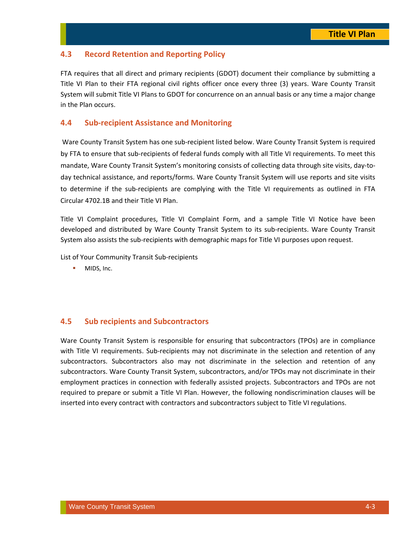### **4.3 Record Retention and Reporting Policy**

FTA requires that all direct and primary recipients (GDOT) document their compliance by submitting a Title VI Plan to their FTA regional civil rights officer once every three (3) years. Ware County Transit System will submit Title VI Plans to GDOT for concurrence on an annual basis or any time a major change in the Plan occurs.

### **4.4 Sub‐recipient Assistance and Monitoring**

Ware County Transit System has one sub‐recipient listed below. Ware County Transit System is required by FTA to ensure that sub‐recipients of federal funds comply with all Title VI requirements. To meet this mandate, Ware County Transit System's monitoring consists of collecting data through site visits, day‐to‐ day technical assistance, and reports/forms. Ware County Transit System will use reports and site visits to determine if the sub-recipients are complying with the Title VI requirements as outlined in FTA Circular 4702.1B and their Title VI Plan.

Title VI Complaint procedures, Title VI Complaint Form, and a sample Title VI Notice have been developed and distributed by Ware County Transit System to its sub‐recipients. Ware County Transit System also assists the sub‐recipients with demographic maps for Title VI purposes upon request.

List of Your Community Transit Sub‐recipients

**MIDS, Inc.** 

### **4.5 Sub recipients and Subcontractors**

Ware County Transit System is responsible for ensuring that subcontractors (TPOs) are in compliance with Title VI requirements. Sub-recipients may not discriminate in the selection and retention of any subcontractors. Subcontractors also may not discriminate in the selection and retention of any subcontractors. Ware County Transit System, subcontractors, and/or TPOs may not discriminate in their employment practices in connection with federally assisted projects. Subcontractors and TPOs are not required to prepare or submit a Title VI Plan. However, the following nondiscrimination clauses will be inserted into every contract with contractors and subcontractors subject to Title VI regulations.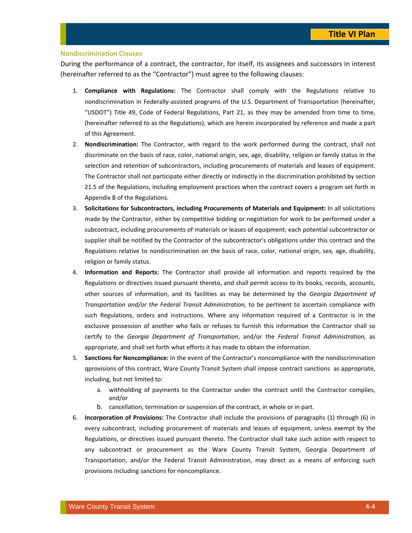### **Nondiscrimination Clauses**

During the performance of a contract, the contractor, for itself, its assignees and successors in interest (hereinafter referred to as the "Contractor") must agree to the following clauses:

- 1. **Compliance with Regulations:** The Contractor shall comply with the Regulations relative to nondiscrimination in Federally‐assisted programs of the U.S. Department of Transportation (hereinafter, "USDOT") Title 49, Code of Federal Regulations, Part 21, as they may be amended from time to time, (hereinafter referred to as the Regulations), which are herein incorporated by reference and made a part of this Agreement.
- 2. **Nondiscrimination:** The Contractor, with regard to the work performed during the contract, shall not discriminate on the basis of race, color, national origin, sex, age, disability, religion or family status in the selection and retention of subcontractors, including procurements of materials and leases of equipment. The Contractor shall not participate either directly or indirectly in the discrimination prohibited by section 21.5 of the Regulations, including employment practices when the contract covers a program set forth in Appendix B of the Regulations.
- 3. **Solicitations for Subcontractors, including Procurements of Materials and Equipment:** In all solicitations made by the Contractor, either by competitive bidding or negotiation for work to be performed under a subcontract, including procurements of materials or leases of equipment; each potential subcontractor or supplier shall be notified by the Contractor of the subcontractor's obligations under this contract and the Regulations relative to nondiscrimination on the basis of race, color, national origin, sex, age, disability, religion or family status.
- 4. **Information and Reports:** The Contractor shall provide all information and reports required by the Regulations or directives issued pursuant thereto, and shall permit access to its books, records, accounts, other sources of information, and its facilities as may be determined by the *Georgia Department of Transportation and/or the Federal Transit Administration,* to be pertinent to ascertain compliance with such Regulations, orders and instructions. Where any information required of a Contractor is in the exclusive possession of another who fails or refuses to furnish this information the Contractor shall so certify to the *Georgia Department of Transportation*, and/or the *Federal Transit Administration,* as appropriate, and shall set forth what efforts it has made to obtain the information.
- 5. **Sanctions for Noncompliance:** In the event of the Contractor's noncompliance with the nondiscrimination qprovisions of this contract, Ware County Transit System shall impose contract sanctions as appropriate, including, but not limited to:
	- a. withholding of payments to the Contractor under the contract until the Contractor complies, and/or
	- b. cancellation, termination or suspension of the contract, in whole or in part.
- 6. **Incorporation of Provisions:** The Contractor shall include the provisions of paragraphs (1) through (6) in every subcontract, including procurement of materials and leases of equipment, unless exempt by the Regulations, or directives issued pursuant thereto. The Contractor shall take such action with respect to any subcontract or procurement as the Ware County Transit System, Georgia Department of Transportation, and/or the Federal Transit Administration, may direct as a means of enforcing such provisions including sanctions for noncompliance.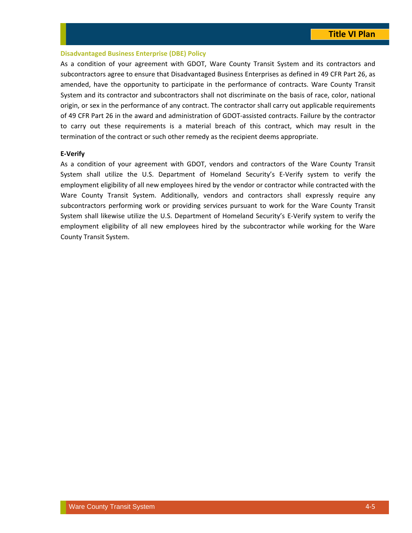### **Disadvantaged Business Enterprise (DBE) Policy**

As a condition of your agreement with GDOT, Ware County Transit System and its contractors and subcontractors agree to ensure that Disadvantaged Business Enterprises as defined in 49 CFR Part 26, as amended, have the opportunity to participate in the performance of contracts. Ware County Transit System and its contractor and subcontractors shall not discriminate on the basis of race, color, national origin, or sex in the performance of any contract. The contractor shall carry out applicable requirements of 49 CFR Part 26 in the award and administration of GDOT‐assisted contracts. Failure by the contractor to carry out these requirements is a material breach of this contract, which may result in the termination of the contract or such other remedy as the recipient deems appropriate.

### **E‐Verify**

As a condition of your agreement with GDOT, vendors and contractors of the Ware County Transit System shall utilize the U.S. Department of Homeland Security's E‐Verify system to verify the employment eligibility of all new employees hired by the vendor or contractor while contracted with the Ware County Transit System. Additionally, vendors and contractors shall expressly require any subcontractors performing work or providing services pursuant to work for the Ware County Transit System shall likewise utilize the U.S. Department of Homeland Security's E‐Verify system to verify the employment eligibility of all new employees hired by the subcontractor while working for the Ware County Transit System.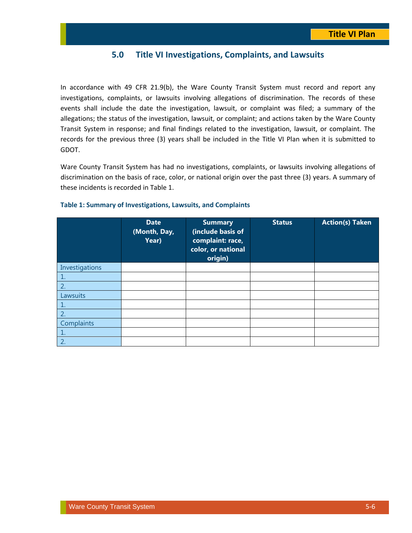### **5.0 Title VI Investigations, Complaints, and Lawsuits**

In accordance with 49 CFR 21.9(b), the Ware County Transit System must record and report any investigations, complaints, or lawsuits involving allegations of discrimination. The records of these events shall include the date the investigation, lawsuit, or complaint was filed; a summary of the allegations; the status of the investigation, lawsuit, or complaint; and actions taken by the Ware County Transit System in response; and final findings related to the investigation, lawsuit, or complaint. The records for the previous three (3) years shall be included in the Title VI Plan when it is submitted to GDOT.

Ware County Transit System has had no investigations, complaints, or lawsuits involving allegations of discrimination on the basis of race, color, or national origin over the past three (3) years. A summary of these incidents is recorded in Table 1.

|                | <b>Date</b><br>(Month, Day,<br>Year) | <b>Summary</b><br>(include basis of<br>complaint: race,<br>color, or national<br>origin) | <b>Status</b> | <b>Action(s) Taken</b> |
|----------------|--------------------------------------|------------------------------------------------------------------------------------------|---------------|------------------------|
| Investigations |                                      |                                                                                          |               |                        |
|                |                                      |                                                                                          |               |                        |
| 2.             |                                      |                                                                                          |               |                        |
| Lawsuits       |                                      |                                                                                          |               |                        |
|                |                                      |                                                                                          |               |                        |
| 2.             |                                      |                                                                                          |               |                        |
| Complaints     |                                      |                                                                                          |               |                        |
|                |                                      |                                                                                          |               |                        |
| 2.             |                                      |                                                                                          |               |                        |

### **Table 1: Summary of Investigations, Lawsuits, and Complaints**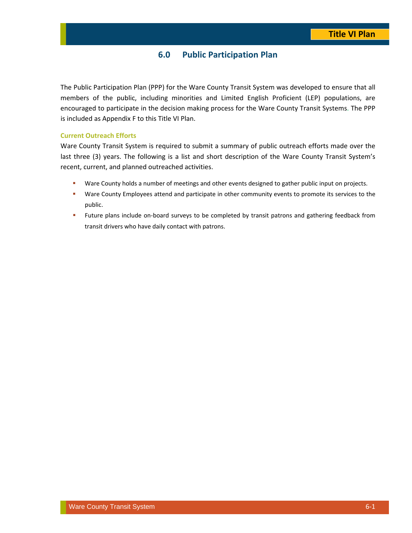### **6.0 Public Participation Plan**

The Public Participation Plan (PPP) for the Ware County Transit System was developed to ensure that all members of the public, including minorities and Limited English Proficient (LEP) populations, are encouraged to participate in the decision making process for the Ware County Transit Systems. The PPP is included as Appendix F to this Title VI Plan.

### **Current Outreach Efforts**

Ware County Transit System is required to submit a summary of public outreach efforts made over the last three (3) years. The following is a list and short description of the Ware County Transit System's recent, current, and planned outreached activities.

- **Ware County holds a number of meetings and other events designed to gather public input on projects.**
- **Ware County Employees attend and participate in other community events to promote its services to the** public.
- **Future plans include on-board surveys to be completed by transit patrons and gathering feedback from** transit drivers who have daily contact with patrons.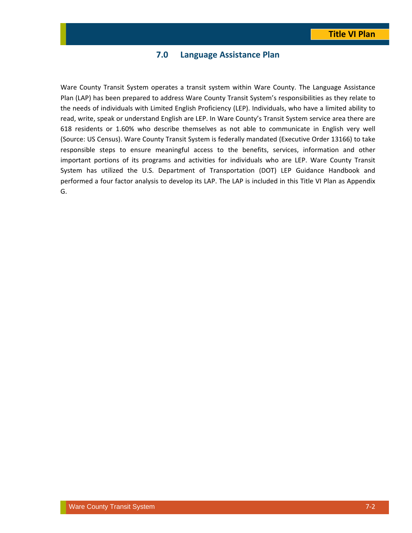### **7.0 Language Assistance Plan**

Ware County Transit System operates a transit system within Ware County. The Language Assistance Plan (LAP) has been prepared to address Ware County Transit System's responsibilities as they relate to the needs of individuals with Limited English Proficiency (LEP). Individuals, who have a limited ability to read, write, speak or understand English are LEP. In Ware County's Transit System service area there are 618 residents or 1.60% who describe themselves as not able to communicate in English very well (Source: US Census). Ware County Transit System is federally mandated (Executive Order 13166) to take responsible steps to ensure meaningful access to the benefits, services, information and other important portions of its programs and activities for individuals who are LEP. Ware County Transit System has utilized the U.S. Department of Transportation (DOT) LEP Guidance Handbook and performed a four factor analysis to develop its LAP. The LAP is included in this Title VI Plan as Appendix G.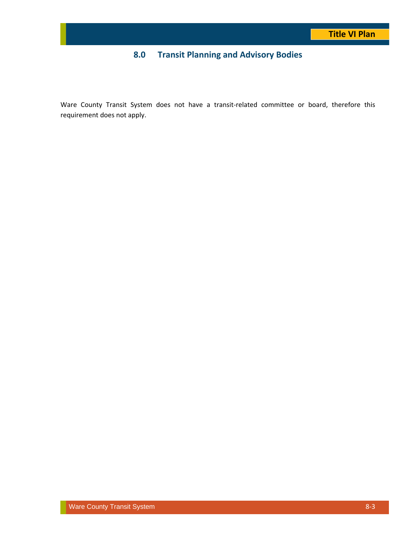## **8.0 Transit Planning and Advisory Bodies**

Ware County Transit System does not have a transit-related committee or board, therefore this requirement does not apply.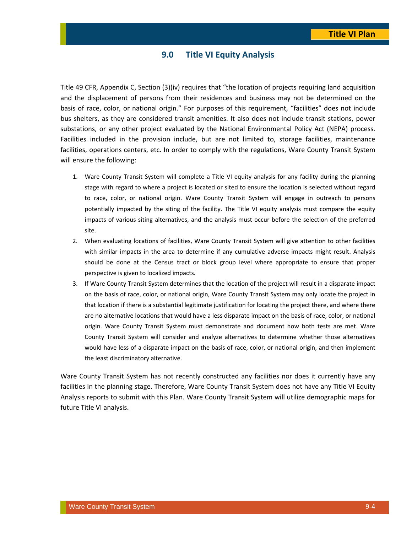### **9.0 Title VI Equity Analysis**

Title 49 CFR, Appendix C, Section (3)(iv) requires that "the location of projects requiring land acquisition and the displacement of persons from their residences and business may not be determined on the basis of race, color, or national origin." For purposes of this requirement, "facilities" does not include bus shelters, as they are considered transit amenities. It also does not include transit stations, power substations, or any other project evaluated by the National Environmental Policy Act (NEPA) process. Facilities included in the provision include, but are not limited to, storage facilities, maintenance facilities, operations centers, etc. In order to comply with the regulations, Ware County Transit System will ensure the following:

- 1. Ware County Transit System will complete a Title VI equity analysis for any facility during the planning stage with regard to where a project is located or sited to ensure the location is selected without regard to race, color, or national origin. Ware County Transit System will engage in outreach to persons potentially impacted by the siting of the facility. The Title VI equity analysis must compare the equity impacts of various siting alternatives, and the analysis must occur before the selection of the preferred site.
- 2. When evaluating locations of facilities, Ware County Transit System will give attention to other facilities with similar impacts in the area to determine if any cumulative adverse impacts might result. Analysis should be done at the Census tract or block group level where appropriate to ensure that proper perspective is given to localized impacts.
- 3. If Ware County Transit System determines that the location of the project will result in a disparate impact on the basis of race, color, or national origin, Ware County Transit System may only locate the project in that location if there is a substantial legitimate justification for locating the project there, and where there are no alternative locations that would have a less disparate impact on the basis of race, color, or national origin. Ware County Transit System must demonstrate and document how both tests are met. Ware County Transit System will consider and analyze alternatives to determine whether those alternatives would have less of a disparate impact on the basis of race, color, or national origin, and then implement the least discriminatory alternative.

Ware County Transit System has not recently constructed any facilities nor does it currently have any facilities in the planning stage. Therefore, Ware County Transit System does not have any Title VI Equity Analysis reports to submit with this Plan. Ware County Transit System will utilize demographic maps for future Title VI analysis.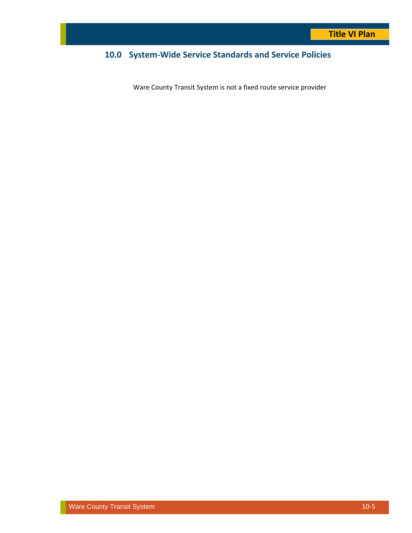## **10.0 System‐Wide Service Standards and Service Policies**

Ware County Transit System is not a fixed route service provider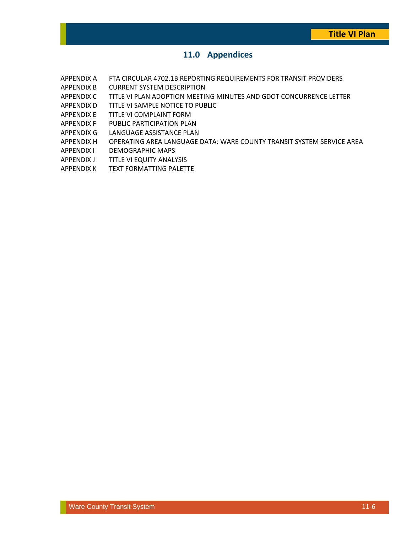### **11.0 Appendices**

- APPENDIX A FTA CIRCULAR 4702.1B REPORTING REQUIREMENTS FOR TRANSIT PROVIDERS
- APPENDIX B CURRENT SYSTEM DESCRIPTION
- APPENDIX C TITLE VI PLAN ADOPTION MEETING MINUTES AND GDOT CONCURRENCE LETTER
- APPENDIX D TITLE VI SAMPLE NOTICE TO PUBLIC
- APPENDIX E TITLE VI COMPLAINT FORM
- APPENDIX F PUBLIC PARTICIPATION PLAN
- APPENDIX G LANGUAGE ASSISTANCE PLAN
- APPENDIX H OPERATING AREA LANGUAGE DATA: WARE COUNTY TRANSIT SYSTEM SERVICE AREA
- APPENDIX I DEMOGRAPHIC MAPS
- APPENDIX J TITLE VI EQUITY ANALYSIS
- APPENDIX K TEXT FORMATTING PALETTE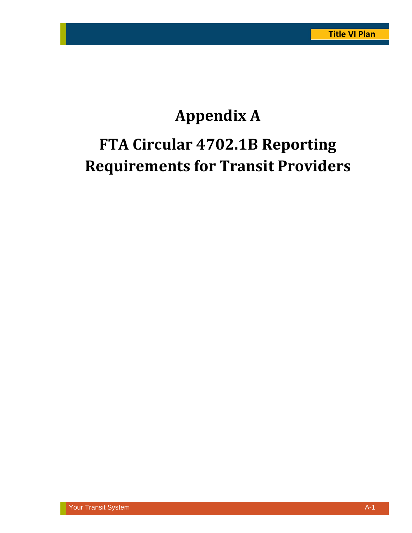# **Appendix A FTA Circular 4702.1B Reporting Requirements for Transit Providers**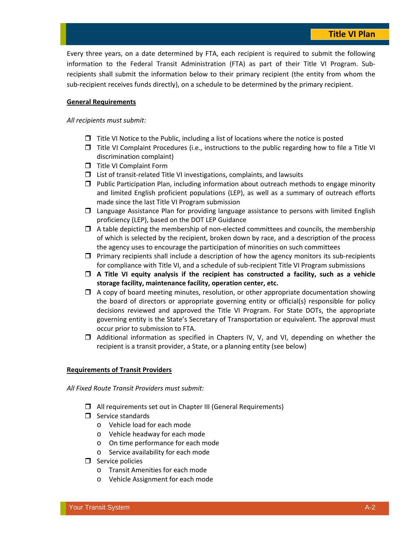Every three years, on a date determined by FTA, each recipient is required to submit the following information to the Federal Transit Administration (FTA) as part of their Title VI Program. Subrecipients shall submit the information below to their primary recipient (the entity from whom the sub-recipient receives funds directly), on a schedule to be determined by the primary recipient.

### **General Requirements**

### *All recipients must submit:*

- $\Box$  Title VI Notice to the Public, including a list of locations where the notice is posted
- $\Box$  Title VI Complaint Procedures (i.e., instructions to the public regarding how to file a Title VI discrimination complaint)
- **T** Title VI Complaint Form
- $\Box$  List of transit-related Title VI investigations, complaints, and lawsuits
- $\Box$  Public Participation Plan, including information about outreach methods to engage minority and limited English proficient populations (LEP), as well as a summary of outreach efforts made since the last Title VI Program submission
- Language Assistance Plan for providing language assistance to persons with limited English proficiency (LEP), based on the DOT LEP Guidance
- $\Box$  A table depicting the membership of non-elected committees and councils, the membership of which is selected by the recipient, broken down by race, and a description of the process the agency uses to encourage the participation of minorities on such committees
- $\Box$  Primary recipients shall include a description of how the agency monitors its sub-recipients for compliance with Title VI, and a schedule of sub-recipient Title VI Program submissions
- **A Title VI equity analysis if the recipient has constructed a facility, such as a vehicle storage facility, maintenance facility, operation center, etc.**
- $\Box$  A copy of board meeting minutes, resolution, or other appropriate documentation showing the board of directors or appropriate governing entity or official(s) responsible for policy decisions reviewed and approved the Title VI Program. For State DOTs, the appropriate governing entity is the State's Secretary of Transportation or equivalent. The approval must occur prior to submission to FTA.
- $\Box$  Additional information as specified in Chapters IV, V, and VI, depending on whether the recipient is a transit provider, a State, or a planning entity (see below)

### **Requirements of Transit Providers**

*All Fixed Route Transit Providers must submit:*

- All requirements set out in Chapter III (General Requirements)
- $\Box$  Service standards
	- o Vehicle load for each mode
	- o Vehicle headway for each mode
	- o On time performance for each mode
	- o Service availability for each mode
- $\Box$  Service policies
	- o Transit Amenities for each mode
	- o Vehicle Assignment for each mode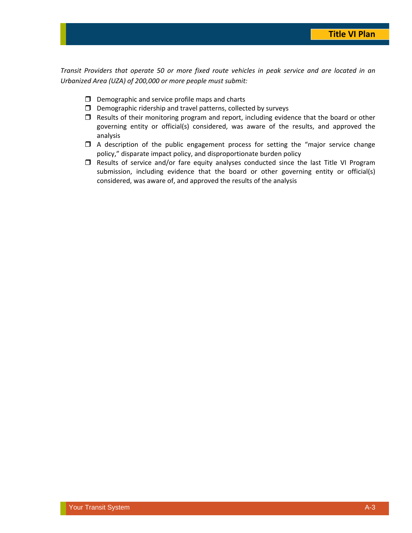Transit Providers that operate 50 or more fixed route vehicles in peak service and are located in an *Urbanized Area (UZA) of 200,000 or more people must submit:*

- $\square$  Demographic and service profile maps and charts
- $\square$  Demographic ridership and travel patterns, collected by surveys
- $\Box$  Results of their monitoring program and report, including evidence that the board or other governing entity or official(s) considered, was aware of the results, and approved the analysis
- $\Box$  A description of the public engagement process for setting the "major service change policy," disparate impact policy, and disproportionate burden policy
- $\square$  Results of service and/or fare equity analyses conducted since the last Title VI Program submission, including evidence that the board or other governing entity or official(s) considered, was aware of, and approved the results of the analysis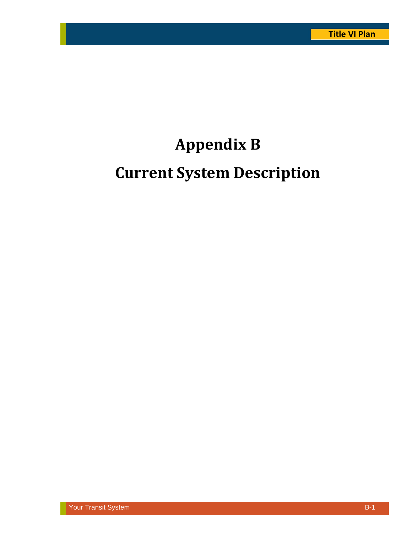# **Appendix B**

# **Current System Description**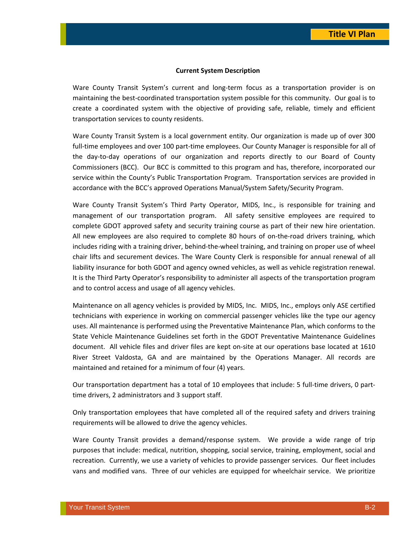#### **Current System Description**

Ware County Transit System's current and long-term focus as a transportation provider is on maintaining the best-coordinated transportation system possible for this community. Our goal is to create a coordinated system with the objective of providing safe, reliable, timely and efficient transportation services to county residents.

Ware County Transit System is a local government entity. Our organization is made up of over 300 full-time employees and over 100 part-time employees. Our County Manager is responsible for all of the day‐to‐day operations of our organization and reports directly to our Board of County Commissioners (BCC). Our BCC is committed to this program and has, therefore, incorporated our service within the County's Public Transportation Program. Transportation services are provided in accordance with the BCC's approved Operations Manual/System Safety/Security Program.

Ware County Transit System's Third Party Operator, MIDS, Inc., is responsible for training and management of our transportation program. All safety sensitive employees are required to complete GDOT approved safety and security training course as part of their new hire orientation. All new employees are also required to complete 80 hours of on-the-road drivers training, which includes riding with a training driver, behind-the-wheel training, and training on proper use of wheel chair lifts and securement devices. The Ware County Clerk is responsible for annual renewal of all liability insurance for both GDOT and agency owned vehicles, as well as vehicle registration renewal. It is the Third Party Operator's responsibility to administer all aspects of the transportation program and to control access and usage of all agency vehicles.

Maintenance on all agency vehicles is provided by MIDS, Inc. MIDS, Inc., employs only ASE certified technicians with experience in working on commercial passenger vehicles like the type our agency uses. All maintenance is performed using the Preventative Maintenance Plan, which conforms to the State Vehicle Maintenance Guidelines set forth in the GDOT Preventative Maintenance Guidelines document. All vehicle files and driver files are kept on‐site at our operations base located at 1610 River Street Valdosta, GA and are maintained by the Operations Manager. All records are maintained and retained for a minimum of four (4) years.

Our transportation department has a total of 10 employees that include: 5 full-time drivers, 0 parttime drivers, 2 administrators and 3 support staff.

Only transportation employees that have completed all of the required safety and drivers training requirements will be allowed to drive the agency vehicles.

Ware County Transit provides a demand/response system. We provide a wide range of trip purposes that include: medical, nutrition, shopping, social service, training, employment, social and recreation. Currently, we use a variety of vehicles to provide passenger services. Our fleet includes vans and modified vans. Three of our vehicles are equipped for wheelchair service. We prioritize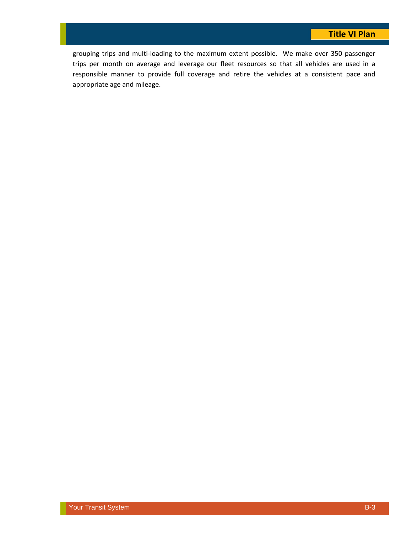grouping trips and multi‐loading to the maximum extent possible. We make over 350 passenger trips per month on average and leverage our fleet resources so that all vehicles are used in a responsible manner to provide full coverage and retire the vehicles at a consistent pace and appropriate age and mileage.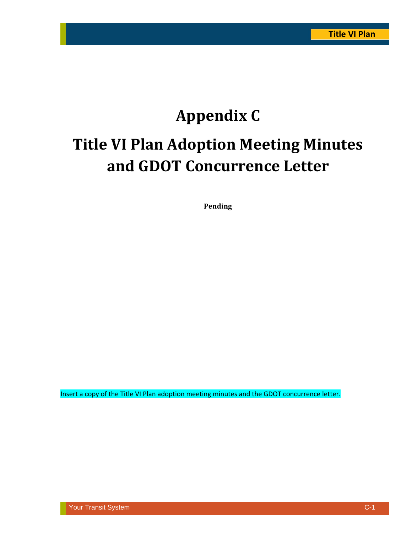# **Appendix C Title VI Plan Adoption Meeting Minutes and GDOT Concurrence Letter**

**Pending**

Insert a copy of the Title VI Plan adoption meeting minutes and the GDOT concurrence letter.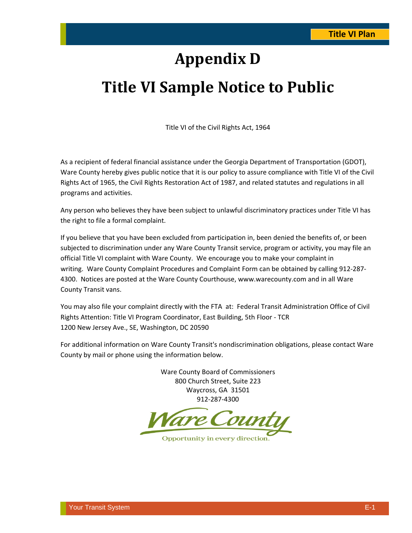## **Appendix D**

## **Title VI Sample Notice to Public**

Title VI of the Civil Rights Act, 1964

As a recipient of federal financial assistance under the Georgia Department of Transportation (GDOT), Ware County hereby gives public notice that it is our policy to assure compliance with Title VI of the Civil Rights Act of 1965, the Civil Rights Restoration Act of 1987, and related statutes and regulations in all programs and activities.

Any person who believes they have been subject to unlawful discriminatory practices under Title VI has the right to file a formal complaint.

If you believe that you have been excluded from participation in, been denied the benefits of, or been subjected to discrimination under any Ware County Transit service, program or activity, you may file an official Title VI complaint with Ware County. We encourage you to make your complaint in writing. Ware County Complaint Procedures and Complaint Form can be obtained by calling 912‐287‐ 4300. Notices are posted at the Ware County Courthouse, www.warecounty.com and in all Ware County Transit vans.

You may also file your complaint directly with the FTA at: Federal Transit Administration Office of Civil Rights Attention: Title VI Program Coordinator, East Building, 5th Floor ‐ TCR 1200 New Jersey Ave., SE, Washington, DC 20590

For additional information on Ware County Transit's nondiscrimination obligations, please contact Ware County by mail or phone using the information below.

> Ware County Board of Commissioners 800 Church Street, Suite 223 Waycross, GA 31501 912‐287‐4300



Opportunity in every direction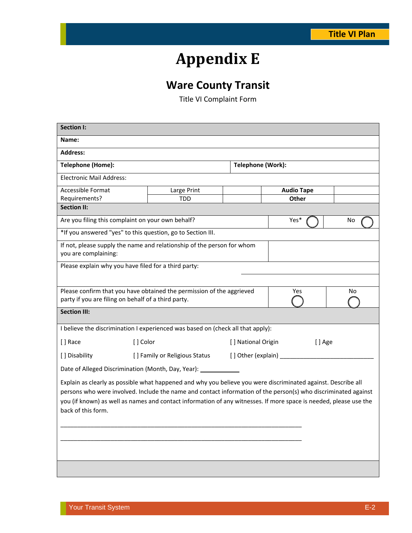# **Appendix E**

## **Ware County Transit**

Title VI Complaint Form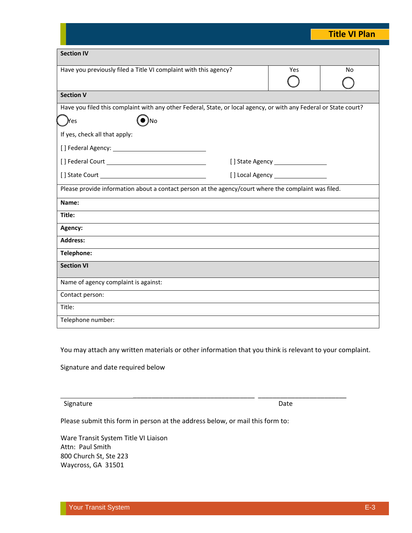|                                                                                                                   |     | <b>Title VI Plan</b> |  |
|-------------------------------------------------------------------------------------------------------------------|-----|----------------------|--|
| <b>Section IV</b>                                                                                                 |     |                      |  |
| Have you previously filed a Title VI complaint with this agency?                                                  | Yes | No                   |  |
| <b>Section V</b>                                                                                                  |     |                      |  |
| Have you filed this complaint with any other Federal, State, or local agency, or with any Federal or State court? |     |                      |  |
| $\bullet$ )no<br><b>P</b> es                                                                                      |     |                      |  |
| If yes, check all that apply:                                                                                     |     |                      |  |
|                                                                                                                   |     |                      |  |
|                                                                                                                   |     |                      |  |
|                                                                                                                   |     |                      |  |
| Please provide information about a contact person at the agency/court where the complaint was filed.              |     |                      |  |
| Name:                                                                                                             |     |                      |  |
| Title:                                                                                                            |     |                      |  |
| Agency:                                                                                                           |     |                      |  |
| <b>Address:</b>                                                                                                   |     |                      |  |
| Telephone:                                                                                                        |     |                      |  |
| <b>Section VI</b>                                                                                                 |     |                      |  |
| Name of agency complaint is against:                                                                              |     |                      |  |
| Contact person:                                                                                                   |     |                      |  |
| Title:                                                                                                            |     |                      |  |
| Telephone number:                                                                                                 |     |                      |  |

You may attach any written materials or other information that you think is relevant to your complaint.

\_\_\_\_\_\_\_\_\_\_\_\_\_\_\_\_\_\_\_\_\_\_\_\_\_\_\_\_\_\_\_\_\_ \_\_\_\_\_\_\_\_\_\_\_\_\_\_\_\_\_\_\_\_\_\_\_\_

Signature and date required below

### Signature Date and the Second Second Contract of the Date of the Date of the Date of the Date of the Date of the Date of the Date of the United States of the United States of the United States of the United States of the U

Please submit this form in person at the address below, or mail this form to:

Ware Transit System Title VI Liaison Attn: Paul Smith 800 Church St, Ste 223 Waycross, GA 31501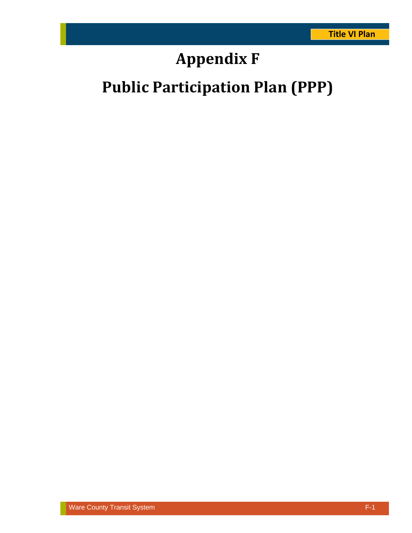# **Appendix F**

# **Public Participation Plan (PPP)**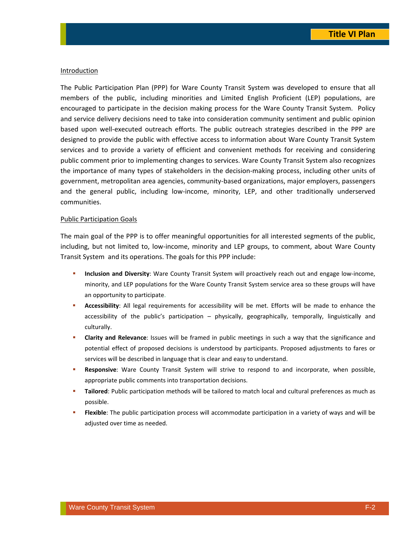#### Introduction

The Public Participation Plan (PPP) for Ware County Transit System was developed to ensure that all members of the public, including minorities and Limited English Proficient (LEP) populations, are encouraged to participate in the decision making process for the Ware County Transit System. Policy and service delivery decisions need to take into consideration community sentiment and public opinion based upon well‐executed outreach efforts. The public outreach strategies described in the PPP are designed to provide the public with effective access to information about Ware County Transit System services and to provide a variety of efficient and convenient methods for receiving and considering public comment prior to implementing changes to services. Ware County Transit System also recognizes the importance of many types of stakeholders in the decision‐making process, including other units of government, metropolitan area agencies, community‐based organizations, major employers, passengers and the general public, including low‐income, minority, LEP, and other traditionally underserved communities.

### Public Participation Goals

The main goal of the PPP is to offer meaningful opportunities for all interested segments of the public, including, but not limited to, low‐income, minority and LEP groups, to comment, about Ware County Transit System and its operations. The goals for this PPP include:

- **Inclusion and Diversity**: Ware County Transit System will proactively reach out and engage low‐income, minority, and LEP populations for the Ware County Transit System service area so these groups will have an opportunity to participate.
- **Accessibility**: All legal requirements for accessibility will be met. Efforts will be made to enhance the accessibility of the public's participation – physically, geographically, temporally, linguistically and culturally.
- **Clarity and Relevance**: Issues will be framed in public meetings in such a way that the significance and potential effect of proposed decisions is understood by participants. Proposed adjustments to fares or services will be described in language that is clear and easy to understand.
- **Responsive**: Ware County Transit System will strive to respond to and incorporate, when possible, appropriate public comments into transportation decisions.
- **Tailored**: Public participation methods will be tailored to match local and cultural preferences as much as possible.
- **Flexible**: The public participation process will accommodate participation in a variety of ways and will be adjusted over time as needed.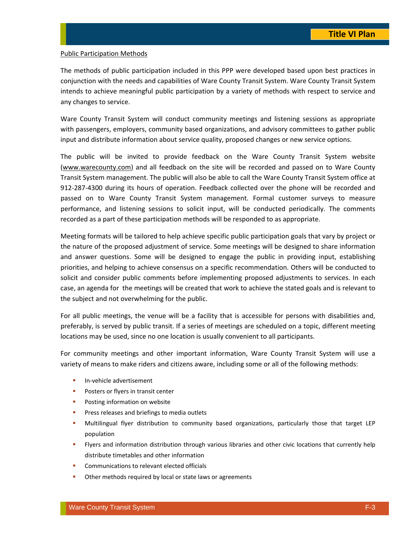### Public Participation Methods

The methods of public participation included in this PPP were developed based upon best practices in conjunction with the needs and capabilities of Ware County Transit System. Ware County Transit System intends to achieve meaningful public participation by a variety of methods with respect to service and any changes to service.

Ware County Transit System will conduct community meetings and listening sessions as appropriate with passengers, employers, community based organizations, and advisory committees to gather public input and distribute information about service quality, proposed changes or new service options.

The public will be invited to provide feedback on the Ware County Transit System website (www.warecounty.com) and all feedback on the site will be recorded and passed on to Ware County Transit System management. The public will also be able to call the Ware County Transit System office at 912‐287‐4300 during its hours of operation. Feedback collected over the phone will be recorded and passed on to Ware County Transit System management. Formal customer surveys to measure performance, and listening sessions to solicit input, will be conducted periodically. The comments recorded as a part of these participation methods will be responded to as appropriate.

Meeting formats will be tailored to help achieve specific public participation goals that vary by project or the nature of the proposed adjustment of service. Some meetings will be designed to share information and answer questions. Some will be designed to engage the public in providing input, establishing priorities, and helping to achieve consensus on a specific recommendation. Others will be conducted to solicit and consider public comments before implementing proposed adjustments to services. In each case, an agenda for the meetings will be created that work to achieve the stated goals and is relevant to the subject and not overwhelming for the public.

For all public meetings, the venue will be a facility that is accessible for persons with disabilities and, preferably, is served by public transit. If a series of meetings are scheduled on a topic, different meeting locations may be used, since no one location is usually convenient to all participants.

For community meetings and other important information, Ware County Transit System will use a variety of means to make riders and citizens aware, including some or all of the following methods:

- In-vehicle advertisement
- **Posters or flyers in transit center**
- **Posting information on website**
- **Press releases and briefings to media outlets**
- Multilingual flyer distribution to community based organizations, particularly those that target LEP population
- **FI** Flyers and information distribution through various libraries and other civic locations that currently help distribute timetables and other information
- **EXECOMMUNICATIONS TO relevant elected officials**
- **•** Other methods required by local or state laws or agreements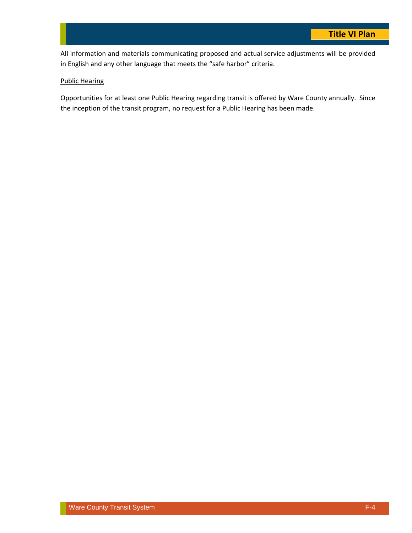All information and materials communicating proposed and actual service adjustments will be provided in English and any other language that meets the "safe harbor" criteria.

### Public Hearing

Opportunities for at least one Public Hearing regarding transit is offered by Ware County annually. Since the inception of the transit program, no request for a Public Hearing has been made.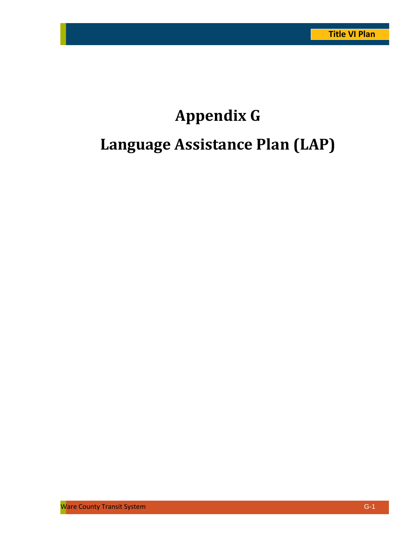# **Appendix G Language Assistance Plan (LAP)**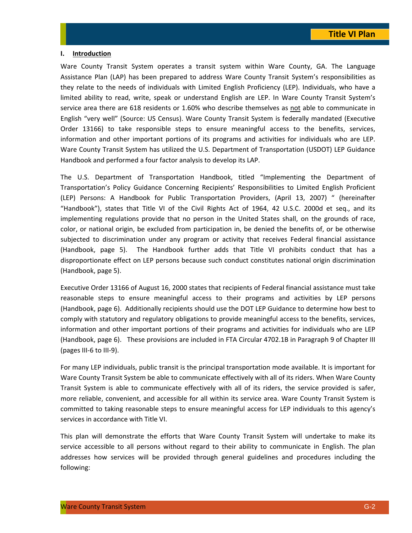### **I. Introduction**

Ware County Transit System operates a transit system within Ware County, GA. The Language Assistance Plan (LAP) has been prepared to address Ware County Transit System's responsibilities as they relate to the needs of individuals with Limited English Proficiency (LEP). Individuals, who have a limited ability to read, write, speak or understand English are LEP. In Ware County Transit System's service area there are 618 residents or 1.60% who describe themselves as not able to communicate in English "very well" (Source: US Census). Ware County Transit System is federally mandated (Executive Order 13166) to take responsible steps to ensure meaningful access to the benefits, services, information and other important portions of its programs and activities for individuals who are LEP. Ware County Transit System has utilized the U.S. Department of Transportation (USDOT) LEP Guidance Handbook and performed a four factor analysis to develop its LAP.

The U.S. Department of Transportation Handbook, titled "Implementing the Department of Transportation's Policy Guidance Concerning Recipients' Responsibilities to Limited English Proficient (LEP) Persons: A Handbook for Public Transportation Providers, (April 13, 2007) " (hereinafter "Handbook"), states that Title VI of the Civil Rights Act of 1964, 42 U.S.C. 2000d et seq., and its implementing regulations provide that no person in the United States shall, on the grounds of race, color, or national origin, be excluded from participation in, be denied the benefits of, or be otherwise subjected to discrimination under any program or activity that receives Federal financial assistance (Handbook, page 5). The Handbook further adds that Title VI prohibits conduct that has a disproportionate effect on LEP persons because such conduct constitutes national origin discrimination (Handbook, page 5).

Executive Order 13166 of August 16, 2000 states that recipients of Federal financial assistance must take reasonable steps to ensure meaningful access to their programs and activities by LEP persons (Handbook, page 6). Additionally recipients should use the DOT LEP Guidance to determine how best to comply with statutory and regulatory obligations to provide meaningful access to the benefits, services, information and other important portions of their programs and activities for individuals who are LEP (Handbook, page 6). These provisions are included in FTA Circular 4702.1B in Paragraph 9 of Chapter III (pages III‐6 to III‐9).

For many LEP individuals, public transit is the principal transportation mode available. It is important for Ware County Transit System be able to communicate effectively with all of its riders. When Ware County Transit System is able to communicate effectively with all of its riders, the service provided is safer, more reliable, convenient, and accessible for all within its service area. Ware County Transit System is committed to taking reasonable steps to ensure meaningful access for LEP individuals to this agency's services in accordance with Title VI.

This plan will demonstrate the efforts that Ware County Transit System will undertake to make its service accessible to all persons without regard to their ability to communicate in English. The plan addresses how services will be provided through general guidelines and procedures including the following: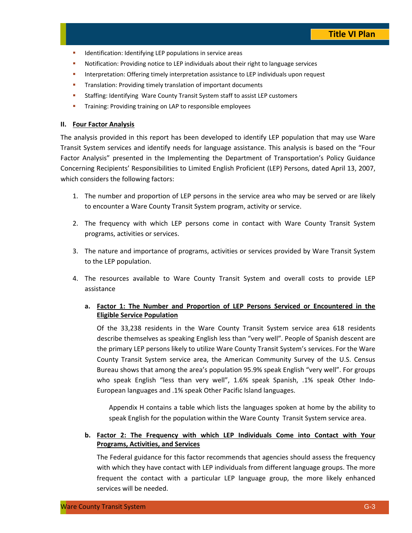- **IDENTIFICATE:** Identifying LEP populations in service areas
- Notification: Providing notice to LEP individuals about their right to language services
- **Interpretation: Offering timely interpretation assistance to LEP individuals upon request**
- **Translation: Providing timely translation of important documents**
- **Staffing: Identifying Ware County Transit System staff to assist LEP customers**
- **Training: Providing training on LAP to responsible employees**

### **II. Four Factor Analysis**

The analysis provided in this report has been developed to identify LEP population that may use Ware Transit System services and identify needs for language assistance. This analysis is based on the "Four Factor Analysis" presented in the Implementing the Department of Transportation's Policy Guidance Concerning Recipients' Responsibilities to Limited English Proficient (LEP) Persons, dated April 13, 2007, which considers the following factors:

- 1. The number and proportion of LEP persons in the service area who may be served or are likely to encounter a Ware County Transit System program, activity or service.
- 2. The frequency with which LEP persons come in contact with Ware County Transit System programs, activities or services.
- 3. The nature and importance of programs, activities or services provided by Ware Transit System to the LEP population.
- 4. The resources available to Ware County Transit System and overall costs to provide LEP assistance
	- **a. Factor 1: The Number and Proportion of LEP Persons Serviced or Encountered in the Eligible Service Population**

Of the 33,238 residents in the Ware County Transit System service area 618 residents describe themselves as speaking English less than "very well". People of Spanish descent are the primary LEP persons likely to utilize Ware County Transit System's services. For the Ware County Transit System service area, the American Community Survey of the U.S. Census Bureau shows that among the area's population 95.9% speak English "very well". For groups who speak English "less than very well", 1.6% speak Spanish, .1% speak Other Indo-European languages and .1% speak Other Pacific Island languages.

Appendix H contains a table which lists the languages spoken at home by the ability to speak English for the population within the Ware County Transit System service area.

### **b. Factor 2: The Frequency with which LEP Individuals Come into Contact with Your Programs, Activities, and Services**

The Federal guidance for this factor recommends that agencies should assess the frequency with which they have contact with LEP individuals from different language groups. The more frequent the contact with a particular LEP language group, the more likely enhanced services will be needed.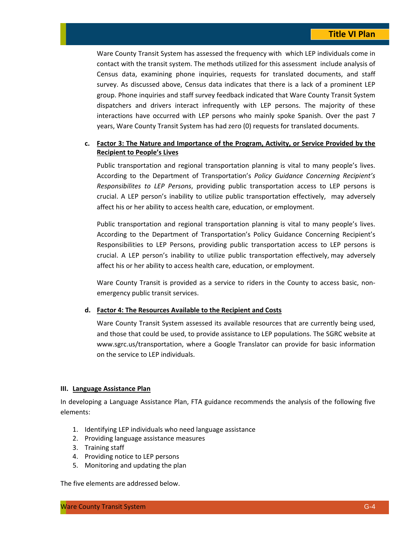Ware County Transit System has assessed the frequency with which LEP individuals come in contact with the transit system. The methods utilized for this assessment include analysis of Census data, examining phone inquiries, requests for translated documents, and staff survey. As discussed above, Census data indicates that there is a lack of a prominent LEP group. Phone inquiries and staff survey feedback indicated that Ware County Transit System dispatchers and drivers interact infrequently with LEP persons. The majority of these interactions have occurred with LEP persons who mainly spoke Spanish. Over the past 7 years, Ware County Transit System has had zero (0) requests for translated documents.

### **c. Factor 3: The Nature and Importance of the Program, Activity, or Service Provided by the Recipient to People's Lives**

Public transportation and regional transportation planning is vital to many people's lives. According to the Department of Transportation's *Policy Guidance Concerning Recipient's Responsibilites to LEP Persons*, providing public transportation access to LEP persons is crucial. A LEP person's inability to utilize public transportation effectively, may adversely affect his or her ability to access health care, education, or employment.

Public transportation and regional transportation planning is vital to many people's lives. According to the Department of Transportation's Policy Guidance Concerning Recipient's Responsibilities to LEP Persons, providing public transportation access to LEP persons is crucial. A LEP person's inability to utilize public transportation effectively, may adversely affect his or her ability to access health care, education, or employment.

Ware County Transit is provided as a service to riders in the County to access basic, nonemergency public transit services.

### **d. Factor 4: The Resources Available to the Recipient and Costs**

Ware County Transit System assessed its available resources that are currently being used, and those that could be used, to provide assistance to LEP populations. The SGRC website at www.sgrc.us/transportation, where a Google Translator can provide for basic information on the service to LEP individuals.

#### **III. Language Assistance Plan**

In developing a Language Assistance Plan, FTA guidance recommends the analysis of the following five elements:

- 1. Identifying LEP individuals who need language assistance
- 2. Providing language assistance measures
- 3. Training staff
- 4. Providing notice to LEP persons
- 5. Monitoring and updating the plan

The five elements are addressed below.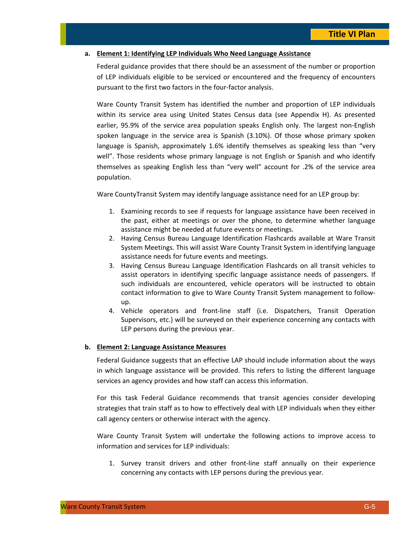### **a. Element 1: Identifying LEP Individuals Who Need Language Assistance**

Federal guidance provides that there should be an assessment of the number or proportion of LEP individuals eligible to be serviced or encountered and the frequency of encounters pursuant to the first two factors in the four‐factor analysis.

Ware County Transit System has identified the number and proportion of LEP individuals within its service area using United States Census data (see Appendix H). As presented earlier, 95.9% of the service area population speaks English only. The largest non-English spoken language in the service area is Spanish (3.10%). Of those whose primary spoken language is Spanish, approximately 1.6% identify themselves as speaking less than "very well". Those residents whose primary language is not English or Spanish and who identify themselves as speaking English less than "very well" account for .2% of the service area population.

Ware CountyTransit System may identify language assistance need for an LEP group by:

- 1. Examining records to see if requests for language assistance have been received in the past, either at meetings or over the phone, to determine whether language assistance might be needed at future events or meetings.
- 2. Having Census Bureau Language Identification Flashcards available at Ware Transit System Meetings. This will assist Ware County Transit System in identifying language assistance needs for future events and meetings.
- 3. Having Census Bureau Language Identification Flashcards on all transit vehicles to assist operators in identifying specific language assistance needs of passengers. If such individuals are encountered, vehicle operators will be instructed to obtain contact information to give to Ware County Transit System management to follow‐ up.
- 4. Vehicle operators and front‐line staff (i.e. Dispatchers, Transit Operation Supervisors, etc.) will be surveyed on their experience concerning any contacts with LEP persons during the previous year.

#### **b. Element 2: Language Assistance Measures**

Federal Guidance suggests that an effective LAP should include information about the ways in which language assistance will be provided. This refers to listing the different language services an agency provides and how staff can access this information.

For this task Federal Guidance recommends that transit agencies consider developing strategies that train staff as to how to effectively deal with LEP individuals when they either call agency centers or otherwise interact with the agency.

Ware County Transit System will undertake the following actions to improve access to information and services for LEP individuals:

1. Survey transit drivers and other front‐line staff annually on their experience concerning any contacts with LEP persons during the previous year.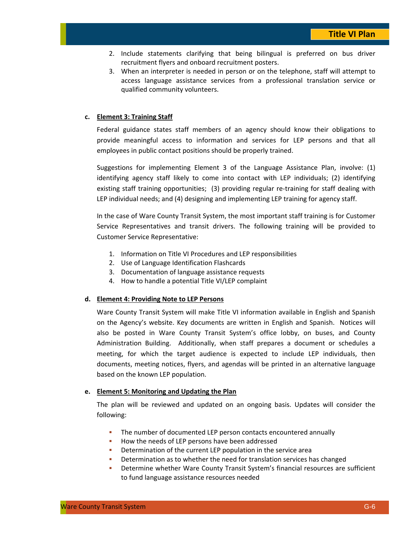- 2. Include statements clarifying that being bilingual is preferred on bus driver recruitment flyers and onboard recruitment posters.
- 3. When an interpreter is needed in person or on the telephone, staff will attempt to access language assistance services from a professional translation service or qualified community volunteers.

### **c. Element 3: Training Staff**

Federal guidance states staff members of an agency should know their obligations to provide meaningful access to information and services for LEP persons and that all employees in public contact positions should be properly trained.

Suggestions for implementing Element 3 of the Language Assistance Plan, involve: (1) identifying agency staff likely to come into contact with LEP individuals; (2) identifying existing staff training opportunities; (3) providing regular re-training for staff dealing with LEP individual needs; and (4) designing and implementing LEP training for agency staff.

In the case of Ware County Transit System, the most important staff training is for Customer Service Representatives and transit drivers. The following training will be provided to Customer Service Representative:

- 1. Information on Title VI Procedures and LEP responsibilities
- 2. Use of Language Identification Flashcards
- 3. Documentation of language assistance requests
- 4. How to handle a potential Title VI/LEP complaint

### **d. Element 4: Providing Note to LEP Persons**

Ware County Transit System will make Title VI information available in English and Spanish on the Agency's website. Key documents are written in English and Spanish. Notices will also be posted in Ware County Transit System's office lobby, on buses, and County Administration Building. Additionally, when staff prepares a document or schedules a meeting, for which the target audience is expected to include LEP individuals, then documents, meeting notices, flyers, and agendas will be printed in an alternative language based on the known LEP population.

### **e. Element 5: Monitoring and Updating the Plan**

The plan will be reviewed and updated on an ongoing basis. Updates will consider the following:

- The number of documented LEP person contacts encountered annually
- How the needs of LEP persons have been addressed
- Determination of the current LEP population in the service area
- **•** Determination as to whether the need for translation services has changed
- Determine whether Ware County Transit System's financial resources are sufficient to fund language assistance resources needed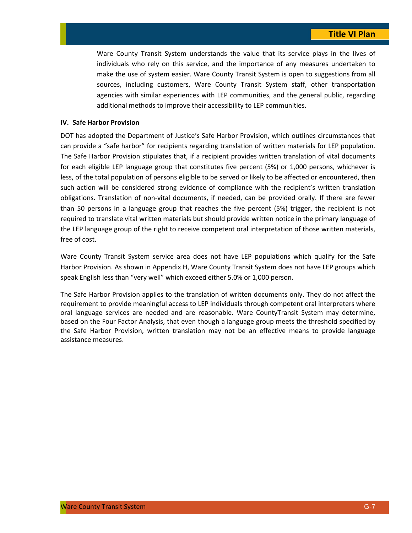Ware County Transit System understands the value that its service plays in the lives of individuals who rely on this service, and the importance of any measures undertaken to make the use of system easier. Ware County Transit System is open to suggestions from all sources, including customers, Ware County Transit System staff, other transportation agencies with similar experiences with LEP communities, and the general public, regarding additional methods to improve their accessibility to LEP communities.

### **IV. Safe Harbor Provision**

DOT has adopted the Department of Justice's Safe Harbor Provision, which outlines circumstances that can provide a "safe harbor" for recipients regarding translation of written materials for LEP population. The Safe Harbor Provision stipulates that, if a recipient provides written translation of vital documents for each eligible LEP language group that constitutes five percent (5%) or 1,000 persons, whichever is less, of the total population of persons eligible to be served or likely to be affected or encountered, then such action will be considered strong evidence of compliance with the recipient's written translation obligations. Translation of non‐vital documents, if needed, can be provided orally. If there are fewer than 50 persons in a language group that reaches the five percent (5%) trigger, the recipient is not required to translate vital written materials but should provide written notice in the primary language of the LEP language group of the right to receive competent oral interpretation of those written materials, free of cost.

Ware County Transit System service area does not have LEP populations which qualify for the Safe Harbor Provision. As shown in Appendix H, Ware County Transit System does not have LEP groups which speak English less than "very well" which exceed either 5.0% or 1,000 person.

The Safe Harbor Provision applies to the translation of written documents only. They do not affect the requirement to provide meaningful access to LEP individuals through competent oral interpreters where oral language services are needed and are reasonable. Ware CountyTransit System may determine, based on the Four Factor Analysis, that even though a language group meets the threshold specified by the Safe Harbor Provision, written translation may not be an effective means to provide language assistance measures.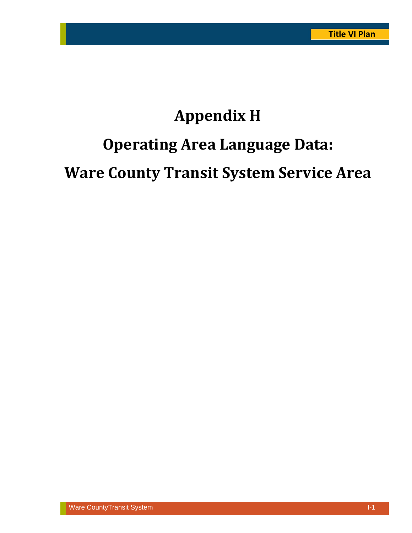# **Appendix H Operating Area Language Data: Ware County Transit System Service Area**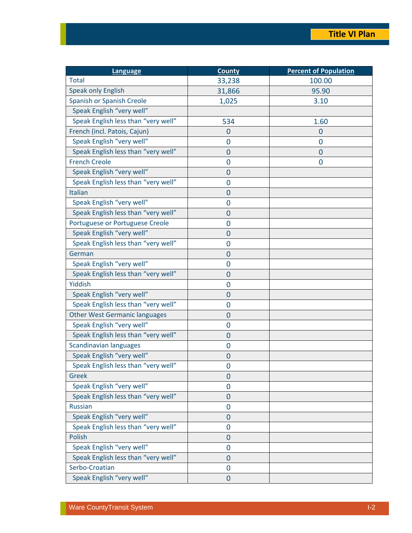| <b>Language</b>                      | <b>County</b>  | <b>Percent of Population</b> |
|--------------------------------------|----------------|------------------------------|
| <b>Total</b>                         | 33,238         | 100.00                       |
| Speak only English                   | 31,866         | 95.90                        |
| Spanish or Spanish Creole            | 1,025          | 3.10                         |
| Speak English "very well"            |                |                              |
| Speak English less than "very well"  | 534            | 1.60                         |
| French (incl. Patois, Cajun)         | $\bf{0}$       | 0                            |
| Speak English "very well"            | $\overline{0}$ | $\overline{0}$               |
| Speak English less than "very well"  | $\mathbf 0$    | $\mathbf 0$                  |
| <b>French Creole</b>                 | $\mathbf 0$    | $\mathbf 0$                  |
| Speak English "very well"            | $\overline{0}$ |                              |
| Speak English less than "very well"  | $\overline{0}$ |                              |
| Italian                              | $\mathbf 0$    |                              |
| Speak English "very well"            | $\overline{0}$ |                              |
| Speak English less than "very well"  | $\overline{0}$ |                              |
| Portuguese or Portuguese Creole      | $\overline{0}$ |                              |
| Speak English "very well"            | $\mathbf 0$    |                              |
| Speak English less than "very well"  | $\mathbf 0$    |                              |
| German                               | $\overline{0}$ |                              |
| Speak English "very well"            | $\overline{0}$ |                              |
| Speak English less than "very well"  | $\overline{0}$ |                              |
| Yiddish                              | $\mathbf 0$    |                              |
| Speak English "very well"            | 0              |                              |
| Speak English less than "very well"  | 0              |                              |
| <b>Other West Germanic languages</b> | $\overline{0}$ |                              |
| Speak English "very well"            | $\mathbf 0$    |                              |
| Speak English less than "very well"  | $\overline{0}$ |                              |
| <b>Scandinavian languages</b>        | 0              |                              |
| Speak English "very well"            | $\mathbf 0$    |                              |
| Speak English less than "very well"  | 0              |                              |
| Greek                                | 0              |                              |
| Speak English "very well"            | 0              |                              |
| Speak English less than "very well"  | $\mathbf 0$    |                              |
| <b>Russian</b>                       | 0              |                              |
| Speak English "very well"            | $\mathbf 0$    |                              |
| Speak English less than "very well"  | 0              |                              |
| Polish                               | $\mathbf 0$    |                              |
| Speak English "very well"            | 0              |                              |
| Speak English less than "very well"  | $\mathbf 0$    |                              |
| Serbo-Croatian                       | $\overline{0}$ |                              |
| Speak English "very well"            | $\overline{0}$ |                              |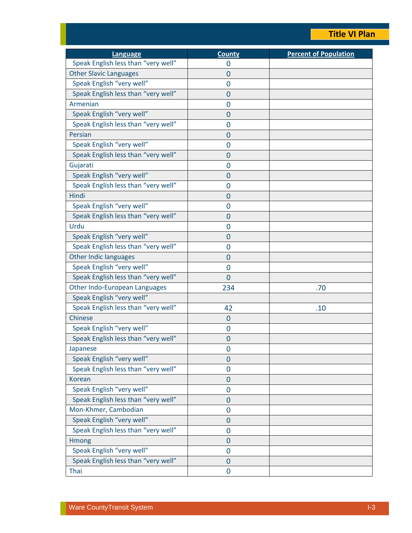### **Title VI Plan**

| <b>Language</b>                     | <b>County</b>  | <b>Percent of Population</b> |
|-------------------------------------|----------------|------------------------------|
| Speak English less than "very well" | 0              |                              |
| <b>Other Slavic Languages</b>       | $\overline{0}$ |                              |
| Speak English "very well"           | $\overline{0}$ |                              |
| Speak English less than "very well" | $\overline{0}$ |                              |
| Armenian                            | 0              |                              |
| Speak English "very well"           | $\overline{0}$ |                              |
| Speak English less than "very well" | 0              |                              |
| Persian                             | $\overline{0}$ |                              |
| Speak English "very well"           | $\overline{0}$ |                              |
| Speak English less than "very well" | $\overline{0}$ |                              |
| Gujarati                            | 0              |                              |
| Speak English "very well"           | $\overline{0}$ |                              |
| Speak English less than "very well" | $\overline{0}$ |                              |
| Hindi                               | $\overline{0}$ |                              |
| Speak English "very well"           | 0              |                              |
| Speak English less than "very well" | $\overline{0}$ |                              |
| Urdu                                | 0              |                              |
| Speak English "very well"           | $\overline{0}$ |                              |
| Speak English less than "very well" | 0              |                              |
| <b>Other Indic languages</b>        | $\overline{0}$ |                              |
| Speak English "very well"           | $\overline{0}$ |                              |
| Speak English less than "very well" | $\overline{0}$ |                              |
| Other Indo-European Languages       | 234            | .70                          |
| Speak English "very well"           |                |                              |
| Speak English less than "very well" | 42             | .10                          |
| Chinese                             | 0              |                              |
| Speak English "very well"           | 0              |                              |
| Speak English less than "very well" | $\mathbf 0$    |                              |
| Japanese                            | $\mathbf 0$    |                              |
| Speak English "very well"           | $\overline{0}$ |                              |
| Speak English less than "very well" | $\overline{0}$ |                              |
| <b>Korean</b>                       | $\overline{0}$ |                              |
| Speak English "very well"           | $\mathbf 0$    |                              |
| Speak English less than "very well" | $\mathbf 0$    |                              |
| Mon-Khmer, Cambodian                | 0              |                              |
| Speak English "very well"           | 0              |                              |
| Speak English less than "very well" | $\mathbf 0$    |                              |
| Hmong                               | $\mathbf{0}$   |                              |
| Speak English "very well"           | $\mathbf 0$    |                              |
| Speak English less than "very well" | $\overline{0}$ |                              |
| Thai                                | 0              |                              |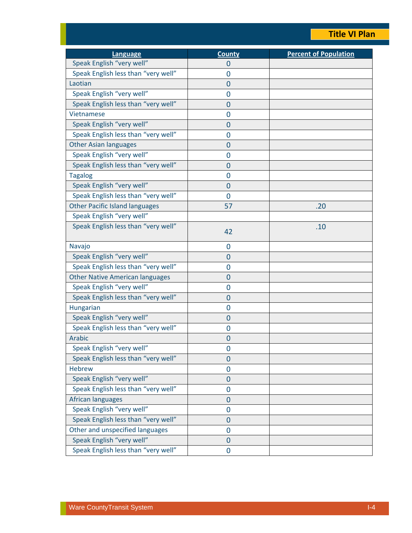### **Title VI Plan**

| Language                               | <b>County</b>  | <b>Percent of Population</b> |
|----------------------------------------|----------------|------------------------------|
| Speak English "very well"              | $\overline{0}$ |                              |
| Speak English less than "very well"    | 0              |                              |
| Laotian                                | 0              |                              |
| Speak English "very well"              | 0              |                              |
| Speak English less than "very well"    | $\mathbf 0$    |                              |
| Vietnamese                             | 0              |                              |
| Speak English "very well"              | 0              |                              |
| Speak English less than "very well"    | $\overline{0}$ |                              |
| <b>Other Asian languages</b>           | $\overline{0}$ |                              |
| Speak English "very well"              | $\overline{0}$ |                              |
| Speak English less than "very well"    | $\overline{0}$ |                              |
| <b>Tagalog</b>                         | $\overline{0}$ |                              |
| Speak English "very well"              | $\mathbf 0$    |                              |
| Speak English less than "very well"    | $\overline{0}$ |                              |
| <b>Other Pacific Island languages</b>  | 57             | .20                          |
| Speak English "very well"              |                |                              |
| Speak English less than "very well"    | 42             | .10                          |
| Navajo                                 | $\mathbf 0$    |                              |
| Speak English "very well"              | $\overline{0}$ |                              |
| Speak English less than "very well"    | 0              |                              |
| <b>Other Native American languages</b> | 0              |                              |
| Speak English "very well"              | $\overline{0}$ |                              |
| Speak English less than "very well"    | $\mathbf 0$    |                              |
| Hungarian                              | 0              |                              |
| Speak English "very well"              | 0              |                              |
| Speak English less than "very well"    | 0              |                              |
| Arabic                                 | 0              |                              |
| Speak English "very well"              | 0              |                              |
| Speak English less than "very well"    | $\mathbf 0$    |                              |
| <b>Hebrew</b>                          | $\overline{0}$ |                              |
| Speak English "very well"              | $\overline{0}$ |                              |
| Speak English less than "very well"    | $\mathbf 0$    |                              |
| African languages                      | $\mathbf 0$    |                              |
| Speak English "very well"              | $\overline{0}$ |                              |
| Speak English less than "very well"    | $\mathbf 0$    |                              |
| Other and unspecified languages        | 0              |                              |
| Speak English "very well"              | $\mathbf 0$    |                              |
| Speak English less than "very well"    | 0              |                              |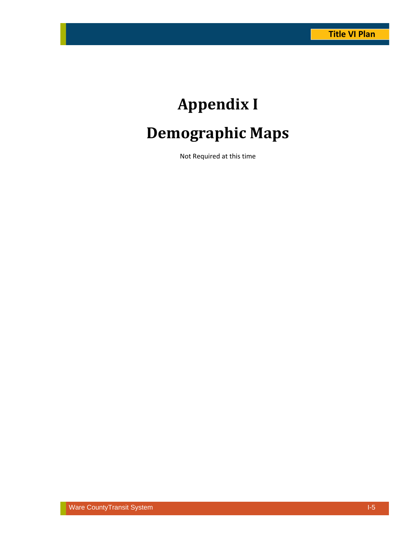# **Appendix I Demographic Maps**

Not Required at this time